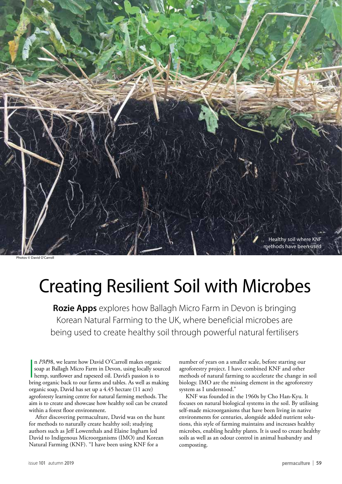

# Creating Resilient Soil with Microbes

**Rozie Apps** explores how Ballagh Micro Farm in Devon is bringing Korean Natural Farming to the UK, where beneficial microbes are being used to create healthy soil through powerful natural fertilisers

In PM98, we learnt how David O'Carroll makes organic soap at Ballagh Micro Farm in Devon, using locally sourced hemp, sunflower and rapeseed oil. David's passion is to bring organic back to our farms and tables. As well as n *PM*98, we learnt how David O'Carroll makes organic soap at Ballagh Micro Farm in Devon, using locally sourced hemp, sunflower and rapeseed oil. David's passion is to organic soap, David has set up a 4.45 hectare (11 acre) agroforesty learning centre for natural farming methods. The aim is to create and showcase how healthy soil can be created within a forest floor environment.

After discovering permaculture, David was on the hunt for methods to naturally create healthy soil; studying authors such as Jeff Lowenthals and Elaine Ingham led David to Indigenous Microorganisms (IMO) and Korean Natural Farming (KNF). "I have been using KNF for a

number of years on a smaller scale, before starting our agroforestry project. I have combined KNF and other methods of natural farming to accelerate the change in soil biology. IMO are the missing element in the agroforestry system as I understood."

KNF was founded in the 1960s by Cho Han-Kyu. It focuses on natural biological systems in the soil. By utilising self-made microorganisms that have been living in native environments for centuries, alongside added nutrient solutions, this style of farming maintains and increases healthy microbes, enabling healthy plants. It is used to create healthy soils as well as an odour control in animal husbandry and composting.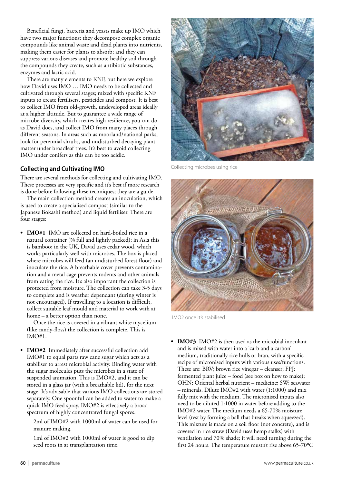Beneficial fungi, bacteria and yeasts make up IMO which have two major functions: they decompose complex organic compounds like animal waste and dead plants into nutrients, making them easier for plants to absorb; and they can suppress various diseases and promote healthy soil through the compounds they create, such as antibiotic substances, enzymes and lactic acid.

There are many elements to KNF, but here we explore how David uses IMO … IMO needs to be collected and cultivated through several stages; mixed with specific KNF inputs to create fertilisers, pesticides and compost. It is best to collect IMO from old-growth, undeveloped areas ideally at a higher altitude. But to guarantee a wide range of microbe diversity, which creates high resilience, you can do as David does, and collect IMO from many places through different seasons. In areas such as moorland/national parks, look for perennial shrubs, and undisturbed decaying plant matter under broadleaf trees. It's best to avoid collecting IMO under conifers as this can be too acidic.

## **Collecting and Cultivating IMO**

There are several methods for collecting and cultivating IMO. These processes are very specific and it's best if more research is done before following these techniques; they are a guide.

The main collection method creates an inoculation, which is used to create a specialised compost (similar to the Japanese Bokashi method) and liquid fertiliser. There are four stages:

**• IMO#1** IMO are collected on hard-boiled rice in a natural container (⅔ full and lightly packed); in Asia this is bamboo; in the UK, David uses cedar wood, which works particularly well with microbes. The box is placed where microbes will feed (an undisturbed forest floor) and inoculate the rice. A breathable cover prevents contamination and a metal cage prevents rodents and other animals from eating the rice. It's also important the collection is protected from moisture. The collection can take 3-5 days to complete and is weather dependant (during winter is not encouraged). If travelling to a location is difficult, collect suitable leaf mould and material to work with at home – a better option than none.

Once the rice is covered in a vibrant white mycelium (like candy-floss) the collection is complete. This is IMO#1.

**• IMO#2** Immediately after successful collection add IMO#1 to equal parts raw cane sugar which acts as a stabiliser to arrest microbial activity. Binding water with the sugar molecules puts the microbes in a state of suspended animation. This is IMO#2, and it can be stored in a glass jar (with a breathable lid), for the next stage. It's advisable that various IMO collections are stored separately. One spoonful can be added to water to make a quick IMO feed spray. IMO#2 is effectively a broad spectrum of highly concentrated fungal spores.

2ml of IMO#2 with 1000ml of water can be used for manure making.

1ml of IMO#2 with 1000ml of water is good to dip seed roots in at transplantation time.



Collecting microbes using rice



IMO2 once it's stabilised

**• IMO#3** IMO#2 is then used as the microbial inoculant and is mixed with water into a 'carb and a carbon' medium, traditionally rice hulls or bran, with a specific recipe of micronised inputs with various uses/functions. These are: BRV; brown rice vinegar – cleanser; FPJ: fermented plant juice – food (see box on how to make); OHN: Oriental herbal nutrient – medicine; SW: seawater – minerals. Dilute IMO#2 with water (1:1000) and mix fully mix with the medium. The micronised inputs also need to be diluted 1:1000 in water before adding to the IMO#2 water. The medium needs a 65-70% moisture level (test by forming a ball that breaks when squeezed). This mixture is made on a soil floor (not concrete), and is covered in rice straw (David uses hemp stalks) with ventilation and 70% shade; it will need turning during the first 24 hours. The temperature mustn't rise above 65-70°C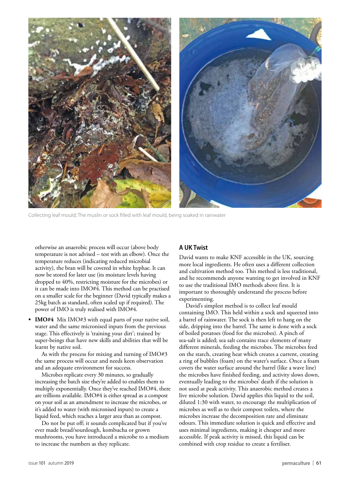

Collecting leaf mould; The muslin or sock filled with leaf mould, being soaked in rainwater

otherwise an anaerobic process will occur (above body temperature is not advised – test with an elbow). Once the temperature reduces (indicating reduced microbial activity), the bran will be covered in white hyphae. It can now be stored for later use (its moisture levels having dropped to 40%, restricting moisture for the microbes) or it can be made into IMO#4. This method can be practised on a smaller scale for the beginner (David typically makes a 25kg batch as standard, often scaled up if required). The power of IMO is truly realised with IMO#4.

**• IMO#4** Mix IMO#3 with equal parts of your native soil, water and the same micronised inputs from the previous stage. This effectively is 'training your dirt'; trained by super-beings that have new skills and abilities that will be learnt by native soil.

As with the process for mixing and turning of IMO#3 the same process will occur and needs keen observation and an adequate environment for success.

Microbes replicate every 30 minutes, so gradually increasing the batch size they're added to enables them to multiply exponentially. Once they've reached IMO#4, there are trillions available. IMO#4 is either spread as a compost on your soil as an amendment to increase the microbes, or it's added to water (with micronised inputs) to create a liquid feed, which reaches a larger area than as compost.

Do not be put off; it sounds complicated but if you've ever made bread/sourdough, kombucha or grown mushrooms, you have introduced a microbe to a medium to increase the numbers as they replicate.

### **A UK Twist**

David wants to make KNF accessible in the UK, sourcing more local ingredients. He often uses a different collection and cultivation method too. This method is less traditional, and he recommends anyone wanting to get involved in KNF to use the traditional IMO methods above first. It is important to thoroughly understand the process before experimenting.

David's simplest method is to collect leaf mould containing IMO. This held within a sock and squeezed into a barrel of rainwater. The sock is then left to hang on the side, dripping into the barrel. The same is done with a sock of boiled potatoes (food for the microbes). A pinch of sea-salt is added; sea salt contains trace elements of many different minerals, feeding the microbes. The microbes feed on the starch, creating heat which creates a current, creating a ring of bubbles (foam) on the water's surface. Once a foam covers the water surface around the barrel (like a wave line) the microbes have finished feeding, and activity slows down, eventually leading to the microbes' death if the solution is not used at peak activity. This anaerobic method creates a live microbe solution. David applies this liquid to the soil, diluted 1:30 with water, to encourage the multiplication of microbes as well as to their compost toilets, where the microbes increase the decomposition rate and eliminate odours. This immediate solution is quick and effective and uses minimal ingredients, making it cheaper and more accessible. If peak activity is missed, this liquid can be combined with crop residue to create a fertiliser.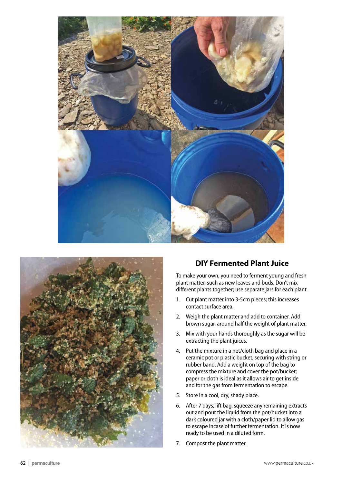



# **DIY Fermented Plant Juice**

To make your own, you need to ferment young and fresh plant matter, such as new leaves and buds. Don't mix different plants together; use separate jars for each plant.

- 1. Cut plant matter into 3-5cm pieces; this increases contact surface area.
- 2. Weigh the plant matter and add to container. Add brown sugar, around half the weight of plant matter.
- 3. Mix with your hands thoroughly as the sugar will be extracting the plant juices.
- 4. Put the mixture in a net/cloth bag and place in a ceramic pot or plastic bucket, securing with string or rubber band. Add a weight on top of the bag to compress the mixture and cover the pot/bucket; paper or cloth is ideal as it allows air to get inside and for the gas from fermentation to escape.
- 5. Store in a cool, dry, shady place.
- 6. After 7 days, lift bag, squeeze any remaining extracts out and pour the liquid from the pot/bucket into a dark coloured jar with a cloth/paper lid to allow gas to escape incase of further fermentation. It is now ready to be used in a diluted form.
- 7. Compost the plant matter.